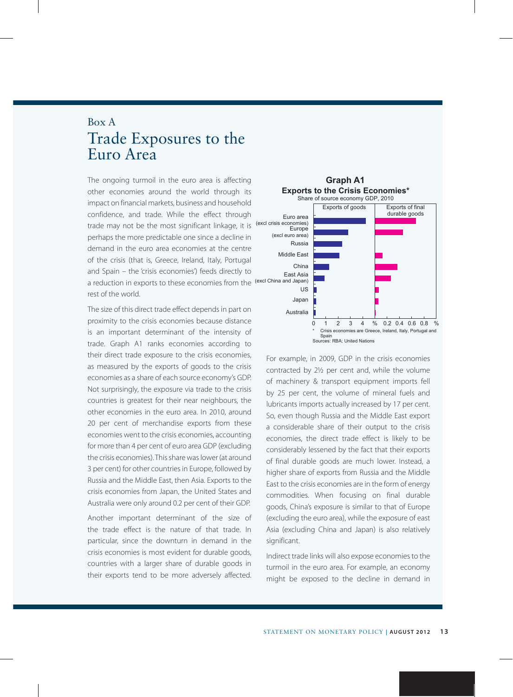## Box A Trade Exposures to the Euro Area

The ongoing turmoil in the euro area is affecting **Graph A1** other economies around the world through its impact on financial markets, business and household confidence, and trade. While the effect through trade may not be the most significant linkage, it is perhaps the more predictable one since a decline in demand in the euro area economies at the centre of the crisis (that is, Greece, Ireland, Italy, Portugal and Spain – the 'crisis economies') feeds directly to a reduction in exports to these economies from the <sup>(excl China and Japan)</sup> rest of the world.

The size of this direct trade effect depends in part on proximity to the crisis economies because distance is an important determinant of the intensity of trade. Graph A1 ranks economies according to their direct trade exposure to the crisis economies, as measured by the exports of goods to the crisis economies as a share of each source economy's GDP. Not surprisingly, the exposure via trade to the crisis countries is greatest for their near neighbours, the other economies in the euro area. In 2010, around 20 per cent of merchandise exports from these economies went to the crisis economies, accounting for more than 4 per cent of euro area GDP (excluding the crisis economies). This share was lower (at around 3 per cent) for other countries in Europe, followed by Russia and the Middle East, then Asia. Exports to the crisis economies from Japan, the United States and Australia were only around 0.2 per cent of their GDP.

Another important determinant of the size of the trade effect is the nature of that trade. In particular, since the downturn in demand in the crisis economies is most evident for durable goods, countries with a larger share of durable goods in their exports tend to be more adversely affected.



For example, in 2009, GDP in the crisis economies contracted by 2½ per cent and, while the volume of machinery & transport equipment imports fell by 25 per cent, the volume of mineral fuels and lubricants imports actually increased by 17 per cent. So, even though Russia and the Middle East export a considerable share of their output to the crisis economies, the direct trade effect is likely to be considerably lessened by the fact that their exports of final durable goods are much lower. Instead, a higher share of exports from Russia and the Middle East to the crisis economies are in the form of energy commodities. When focusing on final durable goods, China's exposure is similar to that of Europe (excluding the euro area), while the exposure of east Asia (excluding China and Japan) is also relatively significant.

Indirect trade links will also expose economies to the turmoil in the euro area. For example, an economy might be exposed to the decline in demand in